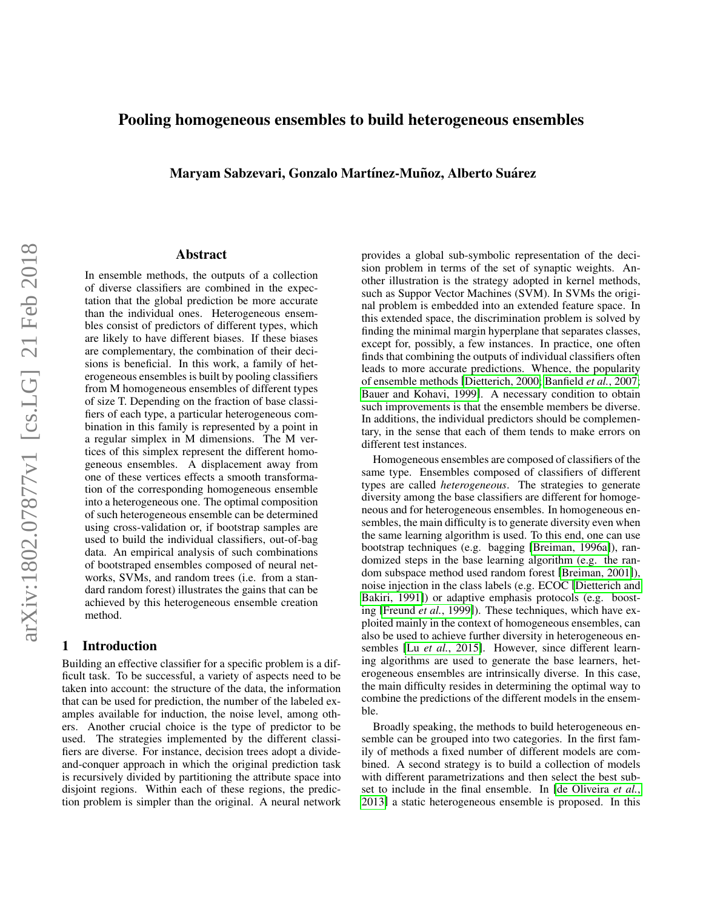# Pooling homogeneous ensembles to build heterogeneous ensembles

Maryam Sabzevari, Gonzalo Martínez-Muñoz, Alberto Suárez

### Abstract

In ensemble methods, the outputs of a collection of diverse classifiers are combined in the expectation that the global prediction be more accurate than the individual ones. Heterogeneous ensembles consist of predictors of different types, which are likely to have different biases. If these biases are complementary, the combination of their decisions is beneficial. In this work, a family of heterogeneous ensembles is built by pooling classifiers from M homogeneous ensembles of different types of size T. Depending on the fraction of base classifiers of each type, a particular heterogeneous combination in this family is represented by a point in a regular simplex in M dimensions. The M vertices of this simplex represent the different homogeneous ensembles. A displacement away from one of these vertices effects a smooth transformation of the corresponding homogeneous ensemble into a heterogeneous one. The optimal composition of such heterogeneous ensemble can be determined using cross-validation or, if bootstrap samples are used to build the individual classifiers, out-of-bag data. An empirical analysis of such combinations of bootstraped ensembles composed of neural networks, SVMs, and random trees (i.e. from a standard random forest) illustrates the gains that can be achieved by this heterogeneous ensemble creation method.

### 1 Introduction

Building an effective classifier for a specific problem is a difficult task. To be successful, a variety of aspects need to be taken into account: the structure of the data, the information that can be used for prediction, the number of the labeled examples available for induction, the noise level, among others. Another crucial choice is the type of predictor to be used. The strategies implemented by the different classifiers are diverse. For instance, decision trees adopt a divideand-conquer approach in which the original prediction task is recursively divided by partitioning the attribute space into disjoint regions. Within each of these regions, the prediction problem is simpler than the original. A neural network provides a global sub-symbolic representation of the decision problem in terms of the set of synaptic weights. Another illustration is the strategy adopted in kernel methods, such as Suppor Vector Machines (SVM). In SVMs the original problem is embedded into an extended feature space. In this extended space, the discrimination problem is solved by finding the minimal margin hyperplane that separates classes, except for, possibly, a few instances. In practice, one often finds that combining the outputs of individual classifiers often leads to more accurate predictions. Whence, the popularity of ensemble methods [\[Dietterich, 2000;](#page-5-0) [Banfield](#page-5-1) *et al.*, 2007; [Bauer and Kohavi, 1999\]](#page-5-2). A necessary condition to obtain such improvements is that the ensemble members be diverse. In additions, the individual predictors should be complementary, in the sense that each of them tends to make errors on different test instances.

Homogeneous ensembles are composed of classifiers of the same type. Ensembles composed of classifiers of different types are called *heterogeneous*. The strategies to generate diversity among the base classifiers are different for homogeneous and for heterogeneous ensembles. In homogeneous ensembles, the main difficulty is to generate diversity even when the same learning algorithm is used. To this end, one can use bootstrap techniques (e.g. bagging [\[Breiman, 1996a\]](#page-5-3)), randomized steps in the base learning algorithm (e.g. the random subspace method used random forest [\[Breiman, 2001\]](#page-5-4)), noise injection in the class labels (e.g. ECOC [\[Dietterich and](#page-5-5) [Bakiri, 1991\]](#page-5-5)) or adaptive emphasis protocols (e.g. boosting [\[Freund](#page-5-6) *et al.*, 1999]). These techniques, which have exploited mainly in the context of homogeneous ensembles, can also be used to achieve further diversity in heterogeneous ensembles [Lu *et al.*[, 2015\]](#page-5-7). However, since different learning algorithms are used to generate the base learners, heterogeneous ensembles are intrinsically diverse. In this case, the main difficulty resides in determining the optimal way to combine the predictions of the different models in the ensemble.

Broadly speaking, the methods to build heterogeneous ensemble can be grouped into two categories. In the first family of methods a fixed number of different models are combined. A second strategy is to build a collection of models with different parametrizations and then select the best subset to include in the final ensemble. In [\[de Oliveira](#page-5-8) *et al.*, [2013\]](#page-5-8) a static heterogeneous ensemble is proposed. In this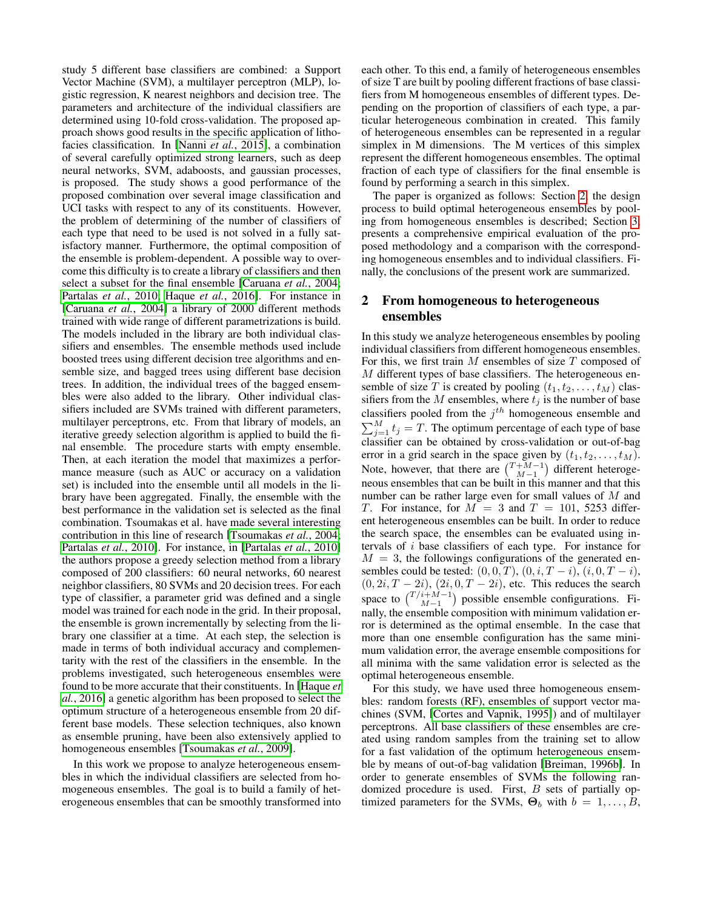study 5 different base classifiers are combined: a Support Vector Machine (SVM), a multilayer perceptron (MLP), logistic regression, K nearest neighbors and decision tree. The parameters and architecture of the individual classifiers are determined using 10-fold cross-validation. The proposed approach shows good results in the specific application of lithofacies classification. In [Nanni *et al.*[, 2015\]](#page-5-9), a combination of several carefully optimized strong learners, such as deep neural networks, SVM, adaboosts, and gaussian processes, is proposed. The study shows a good performance of the proposed combination over several image classification and UCI tasks with respect to any of its constituents. However, the problem of determining of the number of classifiers of each type that need to be used is not solved in a fully satisfactory manner. Furthermore, the optimal composition of the ensemble is problem-dependent. A possible way to overcome this difficulty is to create a library of classifiers and then select a subset for the final ensemble [\[Caruana](#page-5-10) *et al.*, 2004; [Partalas](#page-5-11) *et al.*, 2010; Haque *et al.*[, 2016\]](#page-5-12). For instance in [\[Caruana](#page-5-10) *et al.*, 2004] a library of 2000 different methods trained with wide range of different parametrizations is build. The models included in the library are both individual classifiers and ensembles. The ensemble methods used include boosted trees using different decision tree algorithms and ensemble size, and bagged trees using different base decision trees. In addition, the individual trees of the bagged ensembles were also added to the library. Other individual classifiers included are SVMs trained with different parameters, multilayer perceptrons, etc. From that library of models, an iterative greedy selection algorithm is applied to build the final ensemble. The procedure starts with empty ensemble. Then, at each iteration the model that maximizes a performance measure (such as AUC or accuracy on a validation set) is included into the ensemble until all models in the library have been aggregated. Finally, the ensemble with the best performance in the validation set is selected as the final combination. Tsoumakas et al. have made several interesting contribution in this line of research [\[Tsoumakas](#page-5-13) *et al.*, 2004; [Partalas](#page-5-11) *et al.*, 2010]. For instance, in [\[Partalas](#page-5-11) *et al.*, 2010] the authors propose a greedy selection method from a library composed of 200 classifiers: 60 neural networks, 60 nearest neighbor classifiers, 80 SVMs and 20 decision trees. For each type of classifier, a parameter grid was defined and a single model was trained for each node in the grid. In their proposal, the ensemble is grown incrementally by selecting from the library one classifier at a time. At each step, the selection is made in terms of both individual accuracy and complementarity with the rest of the classifiers in the ensemble. In the problems investigated, such heterogeneous ensembles were found to be more accurate that their constituents. In [\[Haque](#page-5-12) *et al.*[, 2016\]](#page-5-12) a genetic algorithm has been proposed to select the optimum structure of a heterogeneous ensemble from 20 different base models. These selection techniques, also known as ensemble pruning, have been also extensively applied to homogeneous ensembles [\[Tsoumakas](#page-5-14) *et al.*, 2009].

In this work we propose to analyze heterogeneous ensembles in which the individual classifiers are selected from homogeneous ensembles. The goal is to build a family of heterogeneous ensembles that can be smoothly transformed into each other. To this end, a family of heterogeneous ensembles of size T are built by pooling different fractions of base classifiers from M homogeneous ensembles of different types. Depending on the proportion of classifiers of each type, a particular heterogeneous combination in created. This family of heterogeneous ensembles can be represented in a regular simplex in M dimensions. The M vertices of this simplex represent the different homogeneous ensembles. The optimal fraction of each type of classifiers for the final ensemble is found by performing a search in this simplex.

The paper is organized as follows: Section [2,](#page-1-0) the design process to build optimal heterogeneous ensembles by pooling from homogeneous ensembles is described; Section [3,](#page-2-0) presents a comprehensive empirical evaluation of the proposed methodology and a comparison with the corresponding homogeneous ensembles and to individual classifiers. Finally, the conclusions of the present work are summarized.

## <span id="page-1-0"></span>2 From homogeneous to heterogeneous ensembles

In this study we analyze heterogeneous ensembles by pooling individual classifiers from different homogeneous ensembles. For this, we first train  $M$  ensembles of size  $T$  composed of M different types of base classifiers. The heterogeneous ensemble of size T is created by pooling  $(t_1, t_2, \ldots, t_M)$  classifiers from the  $M$  ensembles, where  $t_j$  is the number of base classifiers pooled from the  $j<sup>th</sup>$  homogeneous ensemble and  $\sum_{j=1}^{M} t_j = T$ . The optimum percentage of each type of base classifier can be obtained by cross-validation or out-of-bag error in a grid search in the space given by  $(t_1, t_2, \ldots, t_M)$ . Note, however, that there are  $\binom{T+M-1}{M-1}$  different heterogeneous ensembles that can be built in this manner and that this number can be rather large even for small values of M and T. For instance, for  $M = 3$  and  $T = 101$ , 5253 different heterogeneous ensembles can be built. In order to reduce the search space, the ensembles can be evaluated using intervals of i base classifiers of each type. For instance for  $M = 3$ , the followings configurations of the generated ensembles could be tested:  $(0, 0, T)$ ,  $(0, i, T - i)$ ,  $(i, 0, T - i)$ ,  $(0, 2i, T - 2i), (2i, 0, T - 2i)$ , etc. This reduces the search space to  $\binom{T/i+M-1}{M-1}$  possible ensemble configurations. Finally, the ensemble composition with minimum validation error is determined as the optimal ensemble. In the case that more than one ensemble configuration has the same minimum validation error, the average ensemble compositions for all minima with the same validation error is selected as the optimal heterogeneous ensemble.

For this study, we have used three homogeneous ensembles: random forests (RF), ensembles of support vector machines (SVM, [\[Cortes and Vapnik, 1995\]](#page-5-15)) and of multilayer perceptrons. All base classifiers of these ensembles are created using random samples from the training set to allow for a fast validation of the optimum heterogeneous ensemble by means of out-of-bag validation [\[Breiman, 1996b\]](#page-5-16). In order to generate ensembles of SVMs the following randomized procedure is used. First, B sets of partially optimized parameters for the SVMs,  $\Theta_b$  with  $b = 1, \ldots, B$ ,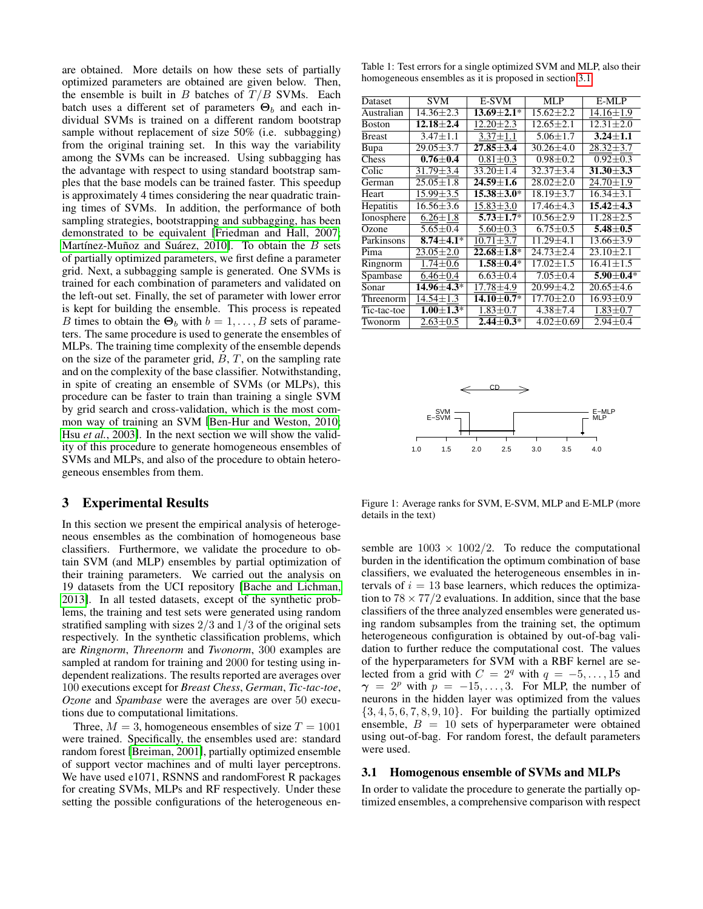are obtained. More details on how these sets of partially optimized parameters are obtained are given below. Then, the ensemble is built in  $B$  batches of  $T/B$  SVMs. Each batch uses a different set of parameters  $\Theta_b$  and each individual SVMs is trained on a different random bootstrap sample without replacement of size 50% (i.e. subbagging) from the original training set. In this way the variability among the SVMs can be increased. Using subbagging has the advantage with respect to using standard bootstrap samples that the base models can be trained faster. This speedup is approximately 4 times considering the near quadratic training times of SVMs. In addition, the performance of both sampling strategies, bootstrapping and subbagging, has been demonstrated to be equivalent [\[Friedman and Hall, 2007;](#page-5-17) Martínez-Muñoz and Suárez, 2010]. To obtain the  $B$  sets of partially optimized parameters, we first define a parameter grid. Next, a subbagging sample is generated. One SVMs is trained for each combination of parameters and validated on the left-out set. Finally, the set of parameter with lower error is kept for building the ensemble. This process is repeated B times to obtain the  $\Theta_b$  with  $b = 1, \ldots, B$  sets of parameters. The same procedure is used to generate the ensembles of MLPs. The training time complexity of the ensemble depends on the size of the parameter grid,  $\overline{B}$ ,  $\overline{T}$ , on the sampling rate and on the complexity of the base classifier. Notwithstanding, in spite of creating an ensemble of SVMs (or MLPs), this procedure can be faster to train than training a single SVM by grid search and cross-validation, which is the most common way of training an SVM [\[Ben-Hur and Weston, 2010;](#page-5-19) Hsu *et al.*[, 2003\]](#page-5-20). In the next section we will show the validity of this procedure to generate homogeneous ensembles of SVMs and MLPs, and also of the procedure to obtain heterogeneous ensembles from them.

### <span id="page-2-0"></span>3 Experimental Results

In this section we present the empirical analysis of heterogeneous ensembles as the combination of homogeneous base classifiers. Furthermore, we validate the procedure to obtain SVM (and MLP) ensembles by partial optimization of their training parameters. We carried out the analysis on 19 datasets from the UCI repository [\[Bache and Lichman,](#page-5-21) [2013\]](#page-5-21). In all tested datasets, except of the synthetic problems, the training and test sets were generated using random stratified sampling with sizes  $2/3$  and  $1/3$  of the original sets respectively. In the synthetic classification problems, which are *Ringnorm*, *Threenorm* and *Twonorm*, 300 examples are sampled at random for training and 2000 for testing using independent realizations. The results reported are averages over 100 executions except for *Breast Chess*, *German*, *Tic-tac-toe*, *Ozone* and *Spambase* were the averages are over 50 executions due to computational limitations.

Three,  $M = 3$ , homogeneous ensembles of size  $T = 1001$ were trained. Specifically, the ensembles used are: standard random forest [\[Breiman, 2001\]](#page-5-4), partially optimized ensemble of support vector machines and of multi layer perceptrons. We have used e1071, RSNNS and randomForest R packages for creating SVMs, MLPs and RF respectively. Under these setting the possible configurations of the heterogeneous en-

<span id="page-2-2"></span>Table 1: Test errors for a single optimized SVM and MLP, also their homogeneous ensembles as it is proposed in section [3.1](#page-2-1)

| Dataset       | <b>SVM</b>      | E-SVM             | MLP             | E-MLP           |
|---------------|-----------------|-------------------|-----------------|-----------------|
| Australian    | $14.36 \pm 2.3$ | $13.69 + 2.1*$    | $15.62 + 2.2$   | $14.16 \pm 1.9$ |
| <b>Boston</b> | $12.18 + 2.4$   | $12.20 \pm 2.3$   | $12.65 \pm 2.1$ | $12.31 + 2.0$   |
| <b>Breast</b> | $3.47 + 1.1$    | $3.37 \pm 1.1$    | $5.06 \pm 1.7$  | $3.24 + 1.1$    |
| Bupa          | $29.05 \pm 3.7$ | $27.85 + 3.4$     | $30.26 \pm 4.0$ | $28.32 \pm 3.7$ |
| Chess         | $0.76\pm0.4$    | $0.81 \pm 0.3$    | $0.98 \pm 0.2$  | $0.92 \pm 0.3$  |
| Colic         | 31.79±3.4       | $33.20 \pm 1.4$   | $32.37 \pm 3.4$ | $31.30 \pm 3.3$ |
| German        | $25.05 \pm 1.8$ | $24.59 \pm 1.6$   | $28.02 \pm 2.0$ | $24.70 \pm 1.9$ |
| Heart         | $15.99 \pm 3.5$ | $15.38 + 3.0*$    | $18.19 \pm 3.7$ | $16.34 + 3.1$   |
| Hepatitis     | $16.56 \pm 3.6$ | $15.83 \pm 3.0$   | $17.46 + 4.3$   | $15.42 + 4.3$   |
| Ionosphere    | $6.26 \pm 1.8$  | $5.73 \pm 1.7*$   | $10.56 \pm 2.9$ | $11.28 \pm 2.5$ |
| Ozone         | $5.65 \pm 0.4$  | $5.60 \pm 0.3$    | $6.75 \pm 0.5$  | $5.48 \pm 0.5$  |
| Parkinsons    | $8.74 \pm 4.1*$ | $10.71 \pm 3.7$   | $11.29 \pm 4.1$ | $13.66 \pm 3.9$ |
| Pima          | $23.05 \pm 2.0$ | $22.68 \pm 1.8^*$ | $24.73 \pm 2.4$ | $23.10 \pm 2.1$ |
| Ringnorm      | $1.74 \pm 0.6$  | $1.58 + 0.4*$     | $17.02 \pm 1.5$ | $16.41 + 1.5$   |
| Spambase      | $6.46 \pm 0.4$  | $6.63 \pm 0.4$    | $7.05 \pm 0.4$  | $5.90 \pm 0.4*$ |
| Sonar         | 14.96±4.3*      | $17.78 \pm 4.9$   | $20.99 \pm 4.2$ | $20.65 \pm 4.6$ |
| Threenorm     | $14.54 \pm 1.3$ | $14.10 \pm 0.7*$  | $17.70 \pm 2.0$ | $16.93 \pm 0.9$ |
| Tic-tac-toe   | $1.00 \pm 1.3*$ | $1.83 \pm 0.7$    | $4.38 \pm 7.4$  | $1.83 \pm 0.7$  |
| Twonorm       | $2.63 \pm 0.5$  | $2.44 + 0.3*$     | $4.02 \pm 0.69$ | $2.94 \pm 0.4$  |
|               |                 |                   |                 |                 |

<span id="page-2-3"></span>

Figure 1: Average ranks for SVM, E-SVM, MLP and E-MLP (more details in the text)

semble are  $1003 \times 1002/2$ . To reduce the computational burden in the identification the optimum combination of base classifiers, we evaluated the heterogeneous ensembles in intervals of  $i = 13$  base learners, which reduces the optimization to  $78 \times 77/2$  evaluations. In addition, since that the base classifiers of the three analyzed ensembles were generated using random subsamples from the training set, the optimum heterogeneous configuration is obtained by out-of-bag validation to further reduce the computational cost. The values of the hyperparameters for SVM with a RBF kernel are selected from a grid with  $C = 2<sup>q</sup>$  with  $q = -5, \ldots, 15$  and  $\gamma = 2^p$  with  $p = -15, \ldots, 3$ . For MLP, the number of neurons in the hidden layer was optimized from the values  $\{3, 4, 5, 6, 7, 8, 9, 10\}$ . For building the partially optimized ensemble,  $B = 10$  sets of hyperparameter were obtained using out-of-bag. For random forest, the default parameters were used.

#### <span id="page-2-1"></span>3.1 Homogenous ensemble of SVMs and MLPs

In order to validate the procedure to generate the partially optimized ensembles, a comprehensive comparison with respect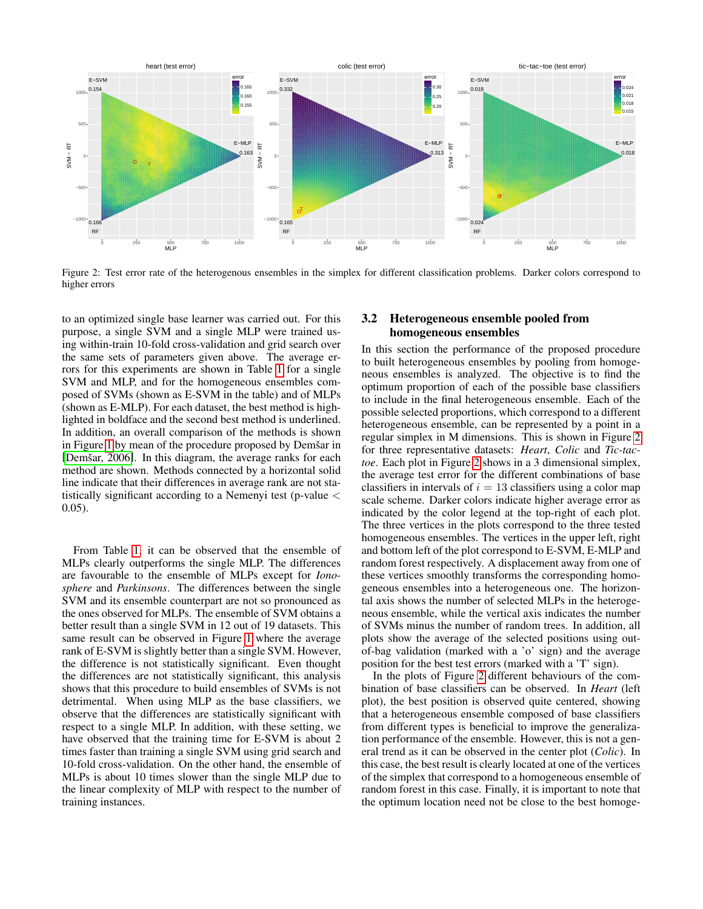<span id="page-3-0"></span>

Figure 2: Test error rate of the heterogenous ensembles in the simplex for different classification problems. Darker colors correspond to higher errors

to an optimized single base learner was carried out. For this purpose, a single SVM and a single MLP were trained using within-train 10-fold cross-validation and grid search over the same sets of parameters given above. The average errors for this experiments are shown in Table 1 for a single SVM and MLP, and for the homogeneous ensembles composed of SVMs (shown as E-SVM in the table) and of MLPs (shown as E-MLP). For each dataset, the best method is highlighted in boldface and the second best method is underlined. In addition, an overall comparison of the methods is shown in Figure 1 by mean of the procedure proposed by Demšar in [Demšar, 2006]. In this diagram, the average ranks for each method are shown. Methods connected by a horizontal solid line indicate that their differences in average rank are not statistically significant according to a Nemenyi test (p-value  $\lt$  $(0.05)$ .

From Table 1, it can be observed that the ensemble of MLPs clearly outperforms the single MLP. The differences are favourable to the ensemble of MLPs except for Ionosphere and Parkinsons. The differences between the single SVM and its ensemble counterpart are not so pronounced as the ones observed for MLPs. The ensemble of SVM obtains a better result than a single SVM in 12 out of 19 datasets. This same result can be observed in Figure 1 where the average rank of E-SVM is slightly better than a single SVM. However, the difference is not statistically significant. Even thought the differences are not statistically significant, this analysis shows that this procedure to build ensembles of SVMs is not detrimental. When using MLP as the base classifiers, we observe that the differences are statistically significant with respect to a single MLP. In addition, with these setting, we have observed that the training time for E-SVM is about 2 times faster than training a single SVM using grid search and 10-fold cross-validation. On the other hand, the ensemble of MLPs is about 10 times slower than the single MLP due to the linear complexity of MLP with respect to the number of training instances.

#### Heterogeneous ensemble pooled from  $3.2$ homogeneous ensembles

In this section the performance of the proposed procedure to built heterogeneous ensembles by pooling from homogeneous ensembles is analyzed. The objective is to find the optimum proportion of each of the possible base classifiers to include in the final heterogeneous ensemble. Each of the possible selected proportions, which correspond to a different heterogeneous ensemble, can be represented by a point in a regular simplex in M dimensions. This is shown in Figure 2 for three representative datasets: *Heart*, *Colic* and *Tic-tac*toe. Each plot in Figure 2 shows in a 3 dimensional simplex, the average test error for the different combinations of base classifiers in intervals of  $i = 13$  classifiers using a color map scale scheme. Darker colors indicate higher average error as indicated by the color legend at the top-right of each plot. The three vertices in the plots correspond to the three tested homogeneous ensembles. The vertices in the upper left, right and bottom left of the plot correspond to E-SVM, E-MLP and random forest respectively. A displacement away from one of these vertices smoothly transforms the corresponding homogeneous ensembles into a heterogeneous one. The horizontal axis shows the number of selected MLPs in the heterogeneous ensemble, while the vertical axis indicates the number of SVMs minus the number of random trees. In addition, all plots show the average of the selected positions using outof-bag validation (marked with a 'o' sign) and the average position for the best test errors (marked with a 'T' sign).

In the plots of Figure 2 different behaviours of the combination of base classifiers can be observed. In *Heart* (left plot), the best position is observed quite centered, showing that a heterogeneous ensemble composed of base classifiers from different types is beneficial to improve the generalization performance of the ensemble. However, this is not a general trend as it can be observed in the center plot (Colic). In this case, the best result is clearly located at one of the vertices of the simplex that correspond to a homogeneous ensemble of random forest in this case. Finally, it is important to note that the optimum location need not be close to the best homoge-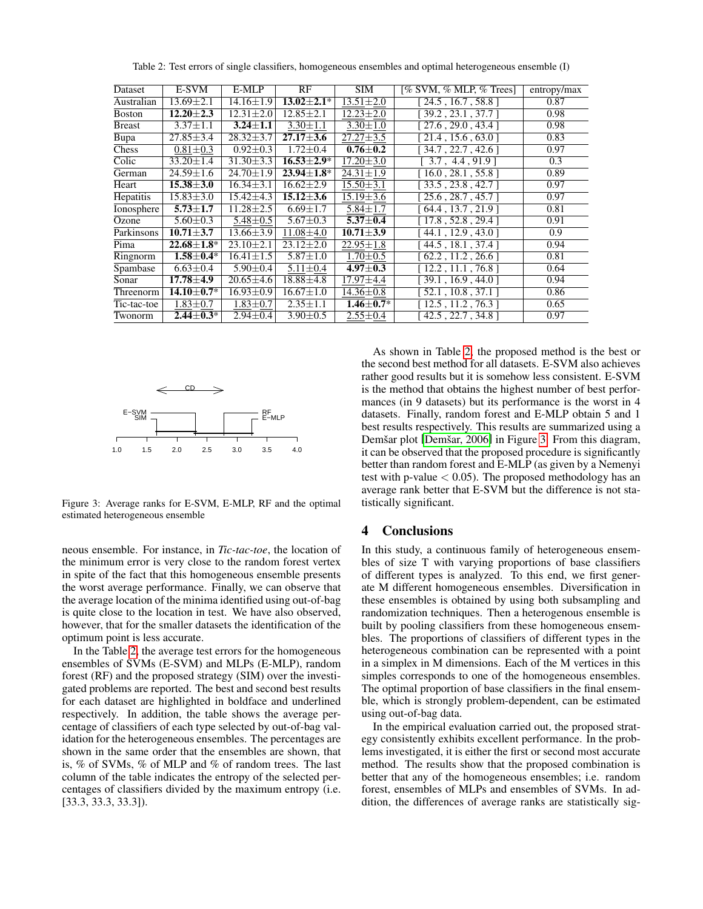<span id="page-4-0"></span>

|                   |                 |                   |                 |                        | entropy/max                                              |
|-------------------|-----------------|-------------------|-----------------|------------------------|----------------------------------------------------------|
| $13.69 \pm 2.1$   | $14.16 \pm 1.9$ | $13.02 \pm 2.1^*$ | $13.51 \pm 2.0$ | [24.5, 16.7, 58.8]     | 0.87                                                     |
| $12.20 + 2.3$     | $12.31 \pm 2.0$ | $12.85 \pm 2.1$   | $12.23 + 2.0$   | [39.2, 23.1, 37.7]     | 0.98                                                     |
| $3.37 \pm 1.1$    | $3.24 + 1.1$    | $3.30 \pm 1.1$    | $3.30 \pm 1.0$  | [27.6, 29.0, 43.4]     | 0.98                                                     |
| $27.85 \pm 3.4$   | $28.32 \pm 3.7$ | $27.17 \pm 3.6$   | $27.27 \pm 3.5$ | [21.4, 15.6, 63.0]     | 0.83                                                     |
| $0.81 \pm 0.3$    | $0.92 \pm 0.3$  | $1.72 \pm 0.4$    | $0.76 \pm 0.2$  | [ 34.7 , 22.7 , 42.6 ] | 0.97                                                     |
| $33.20 \pm 1.4$   | $31.30 \pm 3.3$ | $16.53 \pm 2.9^*$ | $17.20 \pm 3.0$ | [3.7, 4.4, 91.9]       | 0.3                                                      |
| $24.59 \pm 1.6$   | $24.70 \pm 1.9$ | $23.94 \pm 1.8^*$ | $24.31 \pm 1.9$ | [16.0, 28.1, 55.8]     | 0.89                                                     |
| $15.38 \pm 3.0$   | $16.34 \pm 3.1$ | $16.62 \pm 2.9$   | $15.50 \pm 3.1$ | [33.5, 23.8, 42.7]     | 0.97                                                     |
| $15.83 \pm 3.0$   | $15.42 \pm 4.3$ | $15.12 \pm 3.6$   | $15.19 \pm 3.6$ | [25.6, 28.7, 45.7]     | 0.97                                                     |
| $5.73 \pm 1.7$    | $11.28 \pm 2.5$ | $6.69 \pm 1.7$    | $5.84 \pm 1.7$  | [64.4, 13.7, 21.9]     | 0.81                                                     |
| $5.60 \pm 0.3$    | $5.48 \pm 0.5$  | $5.67 \pm 0.3$    | $5.37 + 0.4$    | [17.8, 52.8, 29.4]     | 0.91                                                     |
| $10.71 \pm 3.7$   | $13.66 \pm 3.9$ | $11.08 \pm 4.0$   | $10.71 \pm 3.9$ | 44.1, 12.9, 43.0       | 0.9                                                      |
| $22.68 \pm 1.8^*$ | $23.10 \pm 2.1$ | $23.12 + 2.0$     | $22.95 \pm 1.8$ | [44.5, 18.1, 37.4]     | 0.94                                                     |
| $1.58 + 0.4*$     | $16.41 + 1.5$   | $5.87 \pm 1.0$    | $1.70 \pm 0.5$  | [62.2, 11.2, 26.6]     | 0.81                                                     |
| $6.63 \pm 0.4$    | $5.90 \pm 0.4$  | $5.11 \pm 0.4$    | $4.97 \pm 0.3$  | [12.2, 11.1, 76.8]     | 0.64                                                     |
| $17.78 \pm 4.9$   | $20.65 \pm 4.6$ | $18.88\pm4.8$     | $17.97 \pm 4.4$ | [39.1, 16.9, 44.0]     | 0.94                                                     |
| $14.10 \pm 0.7*$  | $16.93 \pm 0.9$ | $16.67 \pm 1.0$   | $14.36 \pm 0.8$ | [52.1, 10.8, 37.1]     | 0.86                                                     |
| $1.83 \pm 0.7$    | $1.83 \pm 0.7$  | $2.35 \pm 1.1$    | $1.46 \pm 0.7*$ |                        | 0.65                                                     |
| $2.44 \pm 0.3^*$  | $2.94 \pm 0.4$  | $3.90 \pm 0.5$    | $2.55 \pm 0.4$  | [42.5, 22.7, 34.8]     | 0.97                                                     |
|                   | E-SVM           | E-MLP             | RF              | <b>SIM</b>             | [% SVM, % MLP, % Trees]<br>$\overline{12.5, 11.2, 76.3}$ |

Table 2: Test errors of single classifiers, homogeneous ensembles and optimal heterogeneous ensemble (I)

<span id="page-4-1"></span>

Figure 3: Average ranks for E-SVM, E-MLP, RF and the optimal estimated heterogeneous ensemble

neous ensemble. For instance, in *Tic-tac-toe*, the location of the minimum error is very close to the random forest vertex in spite of the fact that this homogeneous ensemble presents the worst average performance. Finally, we can observe that the average location of the minima identified using out-of-bag is quite close to the location in test. We have also observed, however, that for the smaller datasets the identification of the optimum point is less accurate.

In the Table [2,](#page-4-0) the average test errors for the homogeneous ensembles of SVMs (E-SVM) and MLPs (E-MLP), random forest (RF) and the proposed strategy (SIM) over the investigated problems are reported. The best and second best results for each dataset are highlighted in boldface and underlined respectively. In addition, the table shows the average percentage of classifiers of each type selected by out-of-bag validation for the heterogeneous ensembles. The percentages are shown in the same order that the ensembles are shown, that is, % of SVMs, % of MLP and % of random trees. The last column of the table indicates the entropy of the selected percentages of classifiers divided by the maximum entropy (i.e. [33.3, 33.3, 33.3]).

As shown in Table [2,](#page-4-0) the proposed method is the best or the second best method for all datasets. E-SVM also achieves rather good results but it is somehow less consistent. E-SVM is the method that obtains the highest number of best performances (in 9 datasets) but its performance is the worst in 4 datasets. Finally, random forest and E-MLP obtain 5 and 1 best results respectively. This results are summarized using a Demšar plot [Demšar, 2006] in Figure [3.](#page-4-1) From this diagram, it can be observed that the proposed procedure is significantly better than random forest and E-MLP (as given by a Nemenyi test with p-value  $< 0.05$ ). The proposed methodology has an average rank better that E-SVM but the difference is not statistically significant.

### 4 Conclusions

In this study, a continuous family of heterogeneous ensembles of size T with varying proportions of base classifiers of different types is analyzed. To this end, we first generate M different homogeneous ensembles. Diversification in these ensembles is obtained by using both subsampling and randomization techniques. Then a heterogenous ensemble is built by pooling classifiers from these homogeneous ensembles. The proportions of classifiers of different types in the heterogeneous combination can be represented with a point in a simplex in M dimensions. Each of the M vertices in this simples corresponds to one of the homogeneous ensembles. The optimal proportion of base classifiers in the final ensemble, which is strongly problem-dependent, can be estimated using out-of-bag data.

In the empirical evaluation carried out, the proposed strategy consistently exhibits excellent performance. In the problems investigated, it is either the first or second most accurate method. The results show that the proposed combination is better that any of the homogeneous ensembles; i.e. random forest, ensembles of MLPs and ensembles of SVMs. In addition, the differences of average ranks are statistically sig